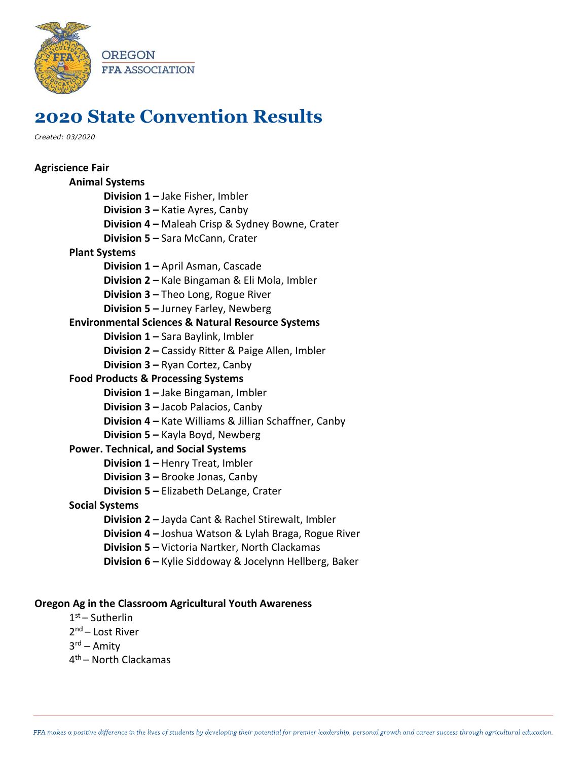

## **2020 State Convention Results**

*Created: 03/2020*

| <b>Agriscience Fair</b>                                      |
|--------------------------------------------------------------|
| <b>Animal Systems</b>                                        |
| Division 1 - Jake Fisher, Imbler                             |
| Division 3 - Katie Ayres, Canby                              |
| Division 4 - Maleah Crisp & Sydney Bowne, Crater             |
| Division 5 - Sara McCann, Crater                             |
| <b>Plant Systems</b>                                         |
| Division 1 - April Asman, Cascade                            |
| Division 2 - Kale Bingaman & Eli Mola, Imbler                |
| Division 3 - Theo Long, Rogue River                          |
| Division 5 - Jurney Farley, Newberg                          |
| <b>Environmental Sciences &amp; Natural Resource Systems</b> |
| Division 1 - Sara Baylink, Imbler                            |
| Division 2 - Cassidy Ritter & Paige Allen, Imbler            |
| Division 3 - Ryan Cortez, Canby                              |
| <b>Food Products &amp; Processing Systems</b>                |
| <b>Division 1 - Jake Bingaman, Imbler</b>                    |
| <b>Division 3 - Jacob Palacios, Canby</b>                    |
| Division 4 - Kate Williams & Jillian Schaffner, Canby        |
| Division 5 - Kayla Boyd, Newberg                             |
| <b>Power. Technical, and Social Systems</b>                  |
| Division 1 - Henry Treat, Imbler                             |
| Division 3 - Brooke Jonas, Canby                             |
| <b>Division 5 - Elizabeth DeLange, Crater</b>                |
| <b>Social Systems</b>                                        |
| Division 2 - Jayda Cant & Rachel Stirewalt, Imbler           |
| Division 4 - Joshua Watson & Lylah Braga, Rogue River        |
| Division 5 - Victoria Nartker, North Clackamas               |
| Division 6 - Kylie Siddoway & Jocelynn Hellberg, Baker       |
|                                                              |

## **Oregon Ag in the Classroom Agricultural Youth Awareness**

- 1 st Sutherlin 2<sup>nd</sup> – Lost River
- 3<sup>rd</sup> Amity
- 4 th North Clackamas